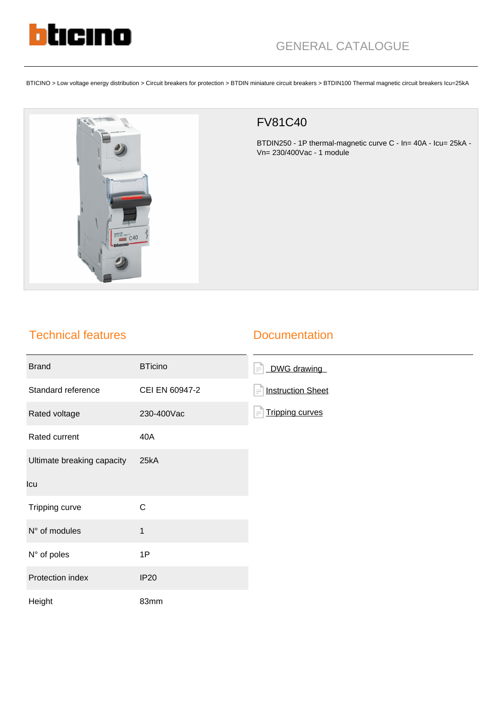

BTICINO > Low voltage energy distribution > Circuit breakers for protection > BTDIN miniature circuit breakers > BTDIN100 Thermal magnetic circuit breakers Icu=25kA



## FV81C40

BTDIN250 - 1P thermal-magnetic curve C - In= 40A - Icu= 25kA - Vn= 230/400Vac - 1 module

## Technical features

## **Documentation**

| <b>Brand</b>               | <b>BTicino</b> | DWG drawing<br>$\equiv$              |
|----------------------------|----------------|--------------------------------------|
| Standard reference         | CEI EN 60947-2 | <b>Instruction Sheet</b><br>$\equiv$ |
| Rated voltage              | 230-400Vac     | <b>Tripping curves</b><br>$\equiv$   |
| Rated current              | 40A            |                                      |
| Ultimate breaking capacity | 25kA           |                                      |
| Icu                        |                |                                      |
| Tripping curve             | $\mathsf C$    |                                      |
| N° of modules              | $\mathbf{1}$   |                                      |
| N° of poles                | 1P             |                                      |
| Protection index           | <b>IP20</b>    |                                      |
| Height                     | 83mm           |                                      |